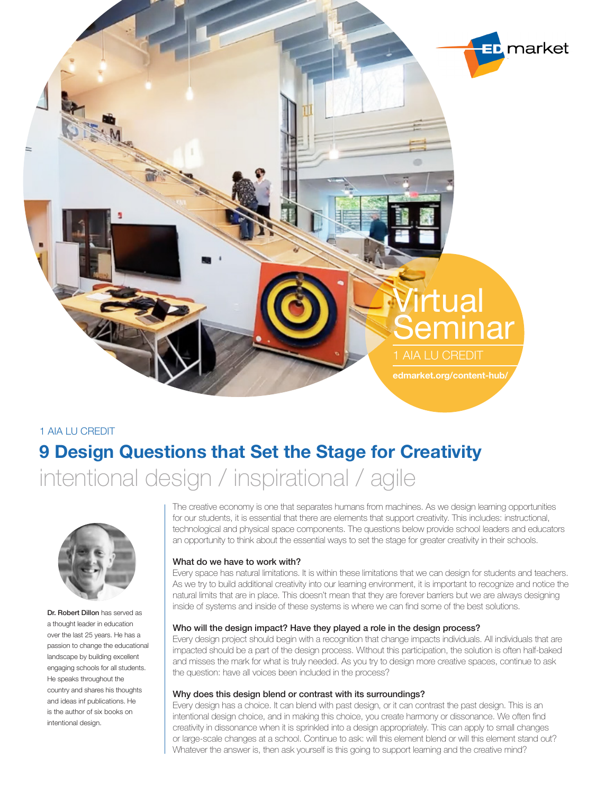

1 AIA LU CREDIT

# **9 Design Questions that Set the Stage for Creativity**

intentional design / inspirational / agile



Dr. Robert Dillon has served as a thought leader in education over the last 25 years. He has a passion to change the educational landscape by building excellent engaging schools for all students. He speaks throughout the country and shares his thoughts and ideas inf publications. He is the author of six books on intentional design.

The creative economy is one that separates humans from machines. As we design learning opportunities for our students, it is essential that there are elements that support creativity. This includes: instructional, technological and physical space components. The questions below provide school leaders and educators an opportunity to think about the essential ways to set the stage for greater creativity in their schools.

## What do we have to work with?

Every space has natural limitations. It is within these limitations that we can design for students and teachers. As we try to build additional creativity into our learning environment, it is important to recognize and notice the natural limits that are in place. This doesn't mean that they are forever barriers but we are always designing inside of systems and inside of these systems is where we can find some of the best solutions.

## Who will the design impact? Have they played a role in the design process?

Every design project should begin with a recognition that change impacts individuals. All individuals that are impacted should be a part of the design process. Without this participation, the solution is often half-baked and misses the mark for what is truly needed. As you try to design more creative spaces, continue to ask the question: have all voices been included in the process?

## Why does this design blend or contrast with its surroundings?

Every design has a choice. It can blend with past design, or it can contrast the past design. This is an intentional design choice, and in making this choice, you create harmony or dissonance. We often find creativity in dissonance when it is sprinkled into a design appropriately. This can apply to small changes or large-scale changes at a school. Continue to ask: will this element blend or will this element stand out? Whatever the answer is, then ask yourself is this going to support learning and the creative mind?